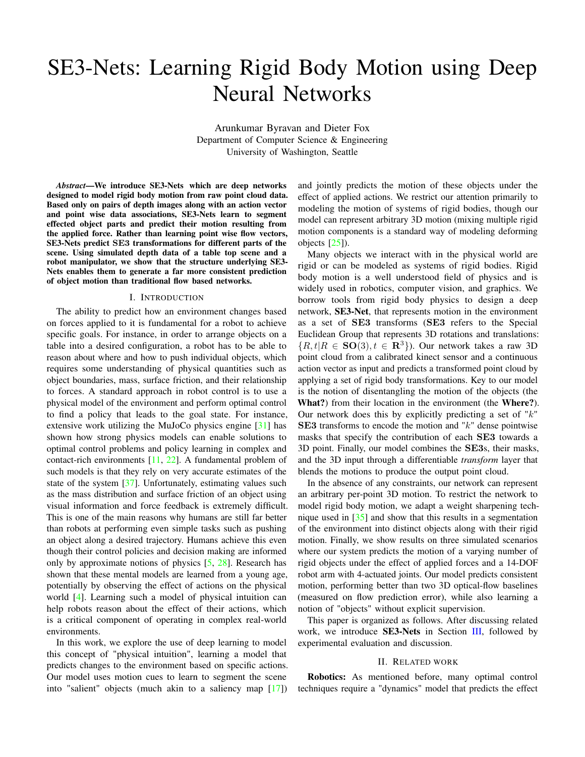# SE3-Nets: Learning Rigid Body Motion using Deep Neural Networks

Arunkumar Byravan and Dieter Fox Department of Computer Science & Engineering University of Washington, Seattle

*Abstract*—We introduce SE3-Nets which are deep networks designed to model rigid body motion from raw point cloud data. Based only on pairs of depth images along with an action vector and point wise data associations, SE3-Nets learn to segment effected object parts and predict their motion resulting from the applied force. Rather than learning point wise flow vectors, SE3-Nets predict SE3 transformations for different parts of the scene. Using simulated depth data of a table top scene and a robot manipulator, we show that the structure underlying SE3- Nets enables them to generate a far more consistent prediction of object motion than traditional flow based networks.

#### I. INTRODUCTION

The ability to predict how an environment changes based on forces applied to it is fundamental for a robot to achieve specific goals. For instance, in order to arrange objects on a table into a desired configuration, a robot has to be able to reason about where and how to push individual objects, which requires some understanding of physical quantities such as object boundaries, mass, surface friction, and their relationship to forces. A standard approach in robot control is to use a physical model of the environment and perform optimal control to find a policy that leads to the goal state. For instance, extensive work utilizing the MuJoCo physics engine [\[31\]](#page-7-0) has shown how strong physics models can enable solutions to optimal control problems and policy learning in complex and contact-rich environments [\[11,](#page-6-0) [22\]](#page-7-1). A fundamental problem of such models is that they rely on very accurate estimates of the state of the system [\[37\]](#page-7-2). Unfortunately, estimating values such as the mass distribution and surface friction of an object using visual information and force feedback is extremely difficult. This is one of the main reasons why humans are still far better than robots at performing even simple tasks such as pushing an object along a desired trajectory. Humans achieve this even though their control policies and decision making are informed only by approximate notions of physics [\[5,](#page-6-1) [28\]](#page-7-3). Research has shown that these mental models are learned from a young age, potentially by observing the effect of actions on the physical world [\[4\]](#page-6-2). Learning such a model of physical intuition can help robots reason about the effect of their actions, which is a critical component of operating in complex real-world environments.

In this work, we explore the use of deep learning to model this concept of "physical intuition", learning a model that predicts changes to the environment based on specific actions. Our model uses motion cues to learn to segment the scene into "salient" objects (much akin to a saliency map [\[17\]](#page-6-3)) and jointly predicts the motion of these objects under the effect of applied actions. We restrict our attention primarily to modeling the motion of systems of rigid bodies, though our model can represent arbitrary 3D motion (mixing multiple rigid motion components is a standard way of modeling deforming objects [\[25\]](#page-7-4)).

Many objects we interact with in the physical world are rigid or can be modeled as systems of rigid bodies. Rigid body motion is a well understood field of physics and is widely used in robotics, computer vision, and graphics. We borrow tools from rigid body physics to design a deep network, SE3-Net, that represents motion in the environment as a set of SE3 transforms (SE3 refers to the Special Euclidean Group that represents 3D rotations and translations:  ${R, t | R \in SO(3), t \in \mathbb{R}^3}$ . Our network takes a raw 3D point cloud from a calibrated kinect sensor and a continuous action vector as input and predicts a transformed point cloud by applying a set of rigid body transformations. Key to our model is the notion of disentangling the motion of the objects (the What?) from their location in the environment (the Where?). Our network does this by explicitly predicting a set of " $k$ " SE3 transforms to encode the motion and " $k$ " dense pointwise masks that specify the contribution of each SE3 towards a 3D point. Finally, our model combines the SE3s, their masks, and the 3D input through a differentiable *transform* layer that blends the motions to produce the output point cloud.

In the absence of any constraints, our network can represent an arbitrary per-point 3D motion. To restrict the network to model rigid body motion, we adapt a weight sharpening technique used in [\[35\]](#page-7-5) and show that this results in a segmentation of the environment into distinct objects along with their rigid motion. Finally, we show results on three simulated scenarios where our system predicts the motion of a varying number of rigid objects under the effect of applied forces and a 14-DOF robot arm with 4-actuated joints. Our model predicts consistent motion, performing better than two 3D optical-flow baselines (measured on flow prediction error), while also learning a notion of "objects" without explicit supervision.

This paper is organized as follows. After discussing related work, we introduce SE3-Nets in Section [III,](#page-1-0) followed by experimental evaluation and discussion.

# II. RELATED WORK

Robotics: As mentioned before, many optimal control techniques require a "dynamics" model that predicts the effect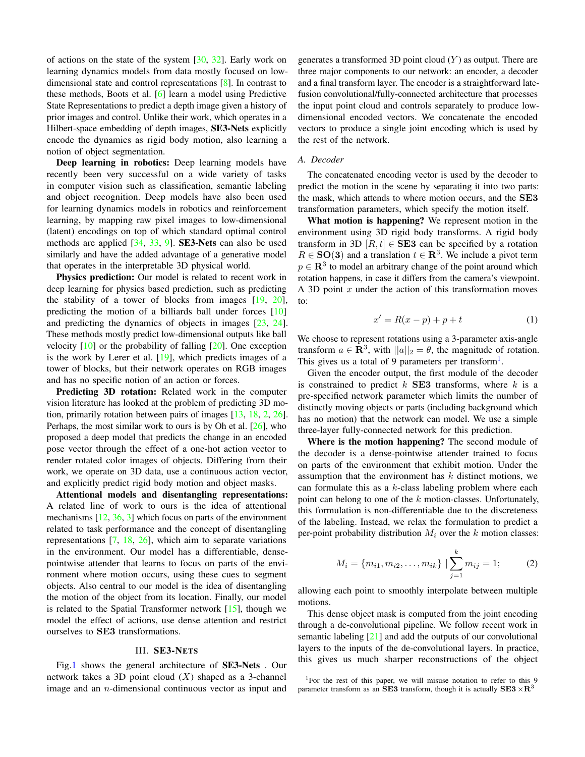of actions on the state of the system  $[30, 32]$  $[30, 32]$  $[30, 32]$ . Early work on learning dynamics models from data mostly focused on lowdimensional state and control representations [\[8\]](#page-6-4). In contrast to these methods, Boots et al. [\[6\]](#page-6-5) learn a model using Predictive State Representations to predict a depth image given a history of prior images and control. Unlike their work, which operates in a Hilbert-space embedding of depth images, SE3-Nets explicitly encode the dynamics as rigid body motion, also learning a notion of object segmentation.

Deep learning in robotics: Deep learning models have recently been very successful on a wide variety of tasks in computer vision such as classification, semantic labeling and object recognition. Deep models have also been used for learning dynamics models in robotics and reinforcement learning, by mapping raw pixel images to low-dimensional (latent) encodings on top of which standard optimal control methods are applied [\[34,](#page-7-8) [33,](#page-7-9) [9\]](#page-6-6). SE3-Nets can also be used similarly and have the added advantage of a generative model that operates in the interpretable 3D physical world.

Physics prediction: Our model is related to recent work in deep learning for physics based prediction, such as predicting the stability of a tower of blocks from images  $[19, 20]$  $[19, 20]$  $[19, 20]$ , predicting the motion of a billiards ball under forces [\[10\]](#page-6-9) and predicting the dynamics of objects in images [\[23,](#page-7-10) [24\]](#page-7-11). These methods mostly predict low-dimensional outputs like ball velocity  $[10]$  or the probability of falling  $[20]$ . One exception is the work by Lerer et al. [\[19\]](#page-6-7), which predicts images of a tower of blocks, but their network operates on RGB images and has no specific notion of an action or forces.

Predicting 3D rotation: Related work in the computer vision literature has looked at the problem of predicting 3D motion, primarily rotation between pairs of images [\[13,](#page-6-10) [18,](#page-6-11) [2,](#page-6-12) [26\]](#page-7-12). Perhaps, the most similar work to ours is by Oh et al.  $[26]$ , who proposed a deep model that predicts the change in an encoded pose vector through the effect of a one-hot action vector to render rotated color images of objects. Differing from their work, we operate on 3D data, use a continuous action vector, and explicitly predict rigid body motion and object masks.

Attentional models and disentangling representations: A related line of work to ours is the idea of attentional mechanisms [\[12,](#page-6-13) [36,](#page-7-13) [3\]](#page-6-14) which focus on parts of the environment related to task performance and the concept of disentangling representations  $[7, 18, 26]$  $[7, 18, 26]$  $[7, 18, 26]$  $[7, 18, 26]$  $[7, 18, 26]$ , which aim to separate variations in the environment. Our model has a differentiable, densepointwise attender that learns to focus on parts of the environment where motion occurs, using these cues to segment objects. Also central to our model is the idea of disentangling the motion of the object from its location. Finally, our model is related to the Spatial Transformer network [\[15\]](#page-6-16), though we model the effect of actions, use dense attention and restrict ourselves to SE3 transformations.

#### III. SE3-NETS

<span id="page-1-0"></span>Fig[.1](#page-2-0) shows the general architecture of SE3-Nets . Our network takes a 3D point cloud  $(X)$  shaped as a 3-channel image and an n-dimensional continuous vector as input and

generates a transformed 3D point cloud  $(Y)$  as output. There are three major components to our network: an encoder, a decoder and a final transform layer. The encoder is a straightforward latefusion convolutional/fully-connected architecture that processes the input point cloud and controls separately to produce lowdimensional encoded vectors. We concatenate the encoded vectors to produce a single joint encoding which is used by the rest of the network.

# *A. Decoder*

The concatenated encoding vector is used by the decoder to predict the motion in the scene by separating it into two parts: the mask, which attends to where motion occurs, and the SE3 transformation parameters, which specify the motion itself.

What motion is happening? We represent motion in the environment using 3D rigid body transforms. A rigid body transform in 3D  $[R, t] \in$  SE3 can be specified by a rotation  $R \in SO(3)$  and a translation  $t \in \mathbb{R}^3$ . We include a pivot term  $p \in \mathbb{R}^3$  to model an arbitrary change of the point around which rotation happens, in case it differs from the camera's viewpoint. A 3D point  $x$  under the action of this transformation moves to:

$$
x' = R(x - p) + p + t \tag{1}
$$

We choose to represent rotations using a 3-parameter axis-angle transform  $a \in \mathbb{R}^3$ , with  $||a||_2 = \theta$ , the magnitude of rotation. This gives us a total of 9 parameters per transform<sup>[1](#page-1-1)</sup>.

Given the encoder output, the first module of the decoder is constrained to predict  $k$  **SE3** transforms, where  $k$  is a pre-specified network parameter which limits the number of distinctly moving objects or parts (including background which has no motion) that the network can model. We use a simple three-layer fully-connected network for this prediction.

Where is the motion happening? The second module of the decoder is a dense-pointwise attender trained to focus on parts of the environment that exhibit motion. Under the assumption that the environment has  $k$  distinct motions, we can formulate this as a  $k$ -class labeling problem where each point can belong to one of the  $k$  motion-classes. Unfortunately, this formulation is non-differentiable due to the discreteness of the labeling. Instead, we relax the formulation to predict a per-point probability distribution  $M_i$  over the k motion classes:

$$
M_i = \{m_{i1}, m_{i2}, \dots, m_{ik}\} \mid \sum_{j=1}^k m_{ij} = 1;
$$
 (2)

allowing each point to smoothly interpolate between multiple motions.

This dense object mask is computed from the joint encoding through a de-convolutional pipeline. We follow recent work in semantic labeling [\[21\]](#page-6-17) and add the outputs of our convolutional layers to the inputs of the de-convolutional layers. In practice, this gives us much sharper reconstructions of the object

<span id="page-1-1"></span><sup>1</sup>For the rest of this paper, we will misuse notation to refer to this 9 parameter transform as an SE3 transform, though it is actually  $SE3 \times R33$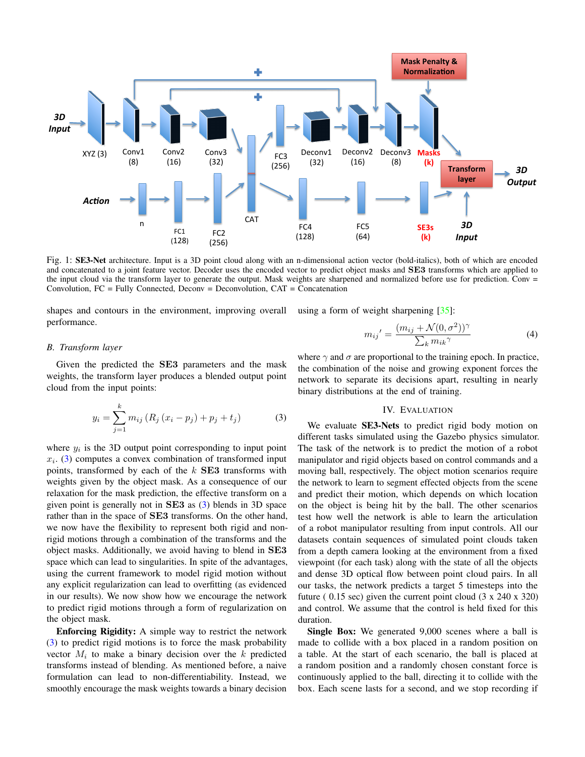<span id="page-2-0"></span>

Fig. 1: SE3-Net architecture. Input is a 3D point cloud along with an n-dimensional action vector (bold-italics), both of which are encoded and concatenated to a joint feature vector. Decoder uses the encoded vector to predict object masks and SE3 transforms which are applied to the input cloud via the transform layer to generate the output. Mask weights are sharpened and normalized before use for prediction. Conv = Convolution,  $FC = Fully Connected, Decomv = Decomvolution, CAT = Concatenation$ 

shapes and contours in the environment, improving overall using a form of weight sharpening [\[35\]](#page-7-5): performance.

$$
m_{ij}' = \frac{(m_{ij} + \mathcal{N}(0, \sigma^2))^{\gamma}}{\sum_{k} m_{ik}^{\gamma}}
$$
(4)

# *B. Transform layer*

Given the predicted the SE3 parameters and the mask weights, the transform layer produces a blended output point cloud from the input points:

<span id="page-2-1"></span>
$$
y_i = \sum_{j=1}^{k} m_{ij} (R_j (x_i - p_j) + p_j + t_j)
$$
 (3)

where  $y_i$  is the 3D output point corresponding to input point  $x_i$ . [\(3\)](#page-2-1) computes a convex combination of transformed input points, transformed by each of the  $k$  **SE3** transforms with weights given by the object mask. As a consequence of our relaxation for the mask prediction, the effective transform on a given point is generally not in SE3 as [\(3\)](#page-2-1) blends in 3D space rather than in the space of **SE3** transforms. On the other hand, we now have the flexibility to represent both rigid and nonrigid motions through a combination of the transforms and the object masks. Additionally, we avoid having to blend in SE3 space which can lead to singularities. In spite of the advantages, using the current framework to model rigid motion without any explicit regularization can lead to overfitting (as evidenced in our results). We now show how we encourage the network to predict rigid motions through a form of regularization on the object mask.

Enforcing Rigidity: A simple way to restrict the network [\(3\)](#page-2-1) to predict rigid motions is to force the mask probability vector  $M_i$  to make a binary decision over the  $k$  predicted transforms instead of blending. As mentioned before, a naive formulation can lead to non-differentiability. Instead, we smoothly encourage the mask weights towards a binary decision

where  $\gamma$  and  $\sigma$  are proportional to the training epoch. In practice, the combination of the noise and growing exponent forces the network to separate its decisions apart, resulting in nearly binary distributions at the end of training.

# IV. EVALUATION

We evaluate SE3-Nets to predict rigid body motion on different tasks simulated using the Gazebo physics simulator. The task of the network is to predict the motion of a robot manipulator and rigid objects based on control commands and a moving ball, respectively. The object motion scenarios require the network to learn to segment effected objects from the scene and predict their motion, which depends on which location on the object is being hit by the ball. The other scenarios test how well the network is able to learn the articulation of a robot manipulator resulting from input controls. All our datasets contain sequences of simulated point clouds taken from a depth camera looking at the environment from a fixed viewpoint (for each task) along with the state of all the objects and dense 3D optical flow between point cloud pairs. In all our tasks, the network predicts a target 5 timesteps into the future (  $0.15$  sec) given the current point cloud (3 x 240 x 320) and control. We assume that the control is held fixed for this duration.

Single Box: We generated 9,000 scenes where a ball is made to collide with a box placed in a random position on a table. At the start of each scenario, the ball is placed at a random position and a randomly chosen constant force is continuously applied to the ball, directing it to collide with the box. Each scene lasts for a second, and we stop recording if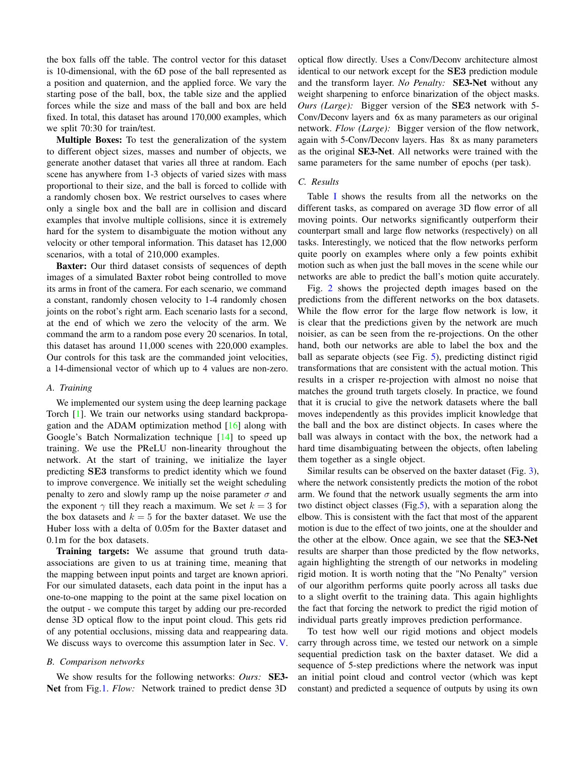the box falls off the table. The control vector for this dataset is 10-dimensional, with the 6D pose of the ball represented as a position and quaternion, and the applied force. We vary the starting pose of the ball, box, the table size and the applied forces while the size and mass of the ball and box are held fixed. In total, this dataset has around 170,000 examples, which we split 70:30 for train/test.

Multiple Boxes: To test the generalization of the system to different object sizes, masses and number of objects, we generate another dataset that varies all three at random. Each scene has anywhere from 1-3 objects of varied sizes with mass proportional to their size, and the ball is forced to collide with a randomly chosen box. We restrict ourselves to cases where only a single box and the ball are in collision and discard examples that involve multiple collisions, since it is extremely hard for the system to disambiguate the motion without any velocity or other temporal information. This dataset has 12,000 scenarios, with a total of 210,000 examples.

Baxter: Our third dataset consists of sequences of depth images of a simulated Baxter robot being controlled to move its arms in front of the camera. For each scenario, we command a constant, randomly chosen velocity to 1-4 randomly chosen joints on the robot's right arm. Each scenario lasts for a second, at the end of which we zero the velocity of the arm. We command the arm to a random pose every 20 scenarios. In total, this dataset has around 11,000 scenes with 220,000 examples. Our controls for this task are the commanded joint velocities, a 14-dimensional vector of which up to 4 values are non-zero.

# *A. Training*

We implemented our system using the deep learning package Torch [\[1\]](#page-6-18). We train our networks using standard backpropagation and the ADAM optimization method [\[16\]](#page-6-19) along with Google's Batch Normalization technique [\[14\]](#page-6-20) to speed up training. We use the PReLU non-linearity throughout the network. At the start of training, we initialize the layer predicting SE3 transforms to predict identity which we found to improve convergence. We initially set the weight scheduling penalty to zero and slowly ramp up the noise parameter  $\sigma$  and the exponent  $\gamma$  till they reach a maximum. We set  $k = 3$  for the box datasets and  $k = 5$  for the baxter dataset. We use the Huber loss with a delta of 0.05m for the Baxter dataset and 0.1m for the box datasets.

Training targets: We assume that ground truth dataassociations are given to us at training time, meaning that the mapping between input points and target are known apriori. For our simulated datasets, each data point in the input has a one-to-one mapping to the point at the same pixel location on the output - we compute this target by adding our pre-recorded dense 3D optical flow to the input point cloud. This gets rid of any potential occlusions, missing data and reappearing data. We discuss ways to overcome this assumption later in Sec. [V.](#page-4-0)

# *B. Comparison networks*

We show results for the following networks: *Ours:* SE3- Net from Fig[.1.](#page-2-0) *Flow:* Network trained to predict dense 3D

optical flow directly. Uses a Conv/Deconv architecture almost identical to our network except for the SE3 prediction module and the transform layer. *No Penalty:* SE3-Net without any weight sharpening to enforce binarization of the object masks. *Ours (Large):* Bigger version of the SE3 network with 5- Conv/Deconv layers and 6x as many parameters as our original network. *Flow (Large):* Bigger version of the flow network, again with 5-Conv/Deconv layers. Has 8x as many parameters as the original SE3-Net. All networks were trained with the same parameters for the same number of epochs (per task).

#### *C. Results*

Table [I](#page-4-1) shows the results from all the networks on the different tasks, as compared on average 3D flow error of all moving points. Our networks significantly outperform their counterpart small and large flow networks (respectively) on all tasks. Interestingly, we noticed that the flow networks perform quite poorly on examples where only a few points exhibit motion such as when just the ball moves in the scene while our networks are able to predict the ball's motion quite accurately.

Fig. [2](#page-4-2) shows the projected depth images based on the predictions from the different networks on the box datasets. While the flow error for the large flow network is low, it is clear that the predictions given by the network are much noisier, as can be seen from the re-projections. On the other hand, both our networks are able to label the box and the ball as separate objects (see Fig. [5\)](#page-6-21), predicting distinct rigid transformations that are consistent with the actual motion. This results in a crisper re-projection with almost no noise that matches the ground truth targets closely. In practice, we found that it is crucial to give the network datasets where the ball moves independently as this provides implicit knowledge that the ball and the box are distinct objects. In cases where the ball was always in contact with the box, the network had a hard time disambiguating between the objects, often labeling them together as a single object.

Similar results can be observed on the baxter dataset (Fig. [3\)](#page-5-0), where the network consistently predicts the motion of the robot arm. We found that the network usually segments the arm into two distinct object classes (Fig[.5\)](#page-6-21), with a separation along the elbow. This is consistent with the fact that most of the apparent motion is due to the effect of two joints, one at the shoulder and the other at the elbow. Once again, we see that the SE3-Net results are sharper than those predicted by the flow networks, again highlighting the strength of our networks in modeling rigid motion. It is worth noting that the "No Penalty" version of our algorithm performs quite poorly across all tasks due to a slight overfit to the training data. This again highlights the fact that forcing the network to predict the rigid motion of individual parts greatly improves prediction performance.

To test how well our rigid motions and object models carry through across time, we tested our network on a simple sequential prediction task on the baxter dataset. We did a sequence of 5-step predictions where the network was input an initial point cloud and control vector (which was kept constant) and predicted a sequence of outputs by using its own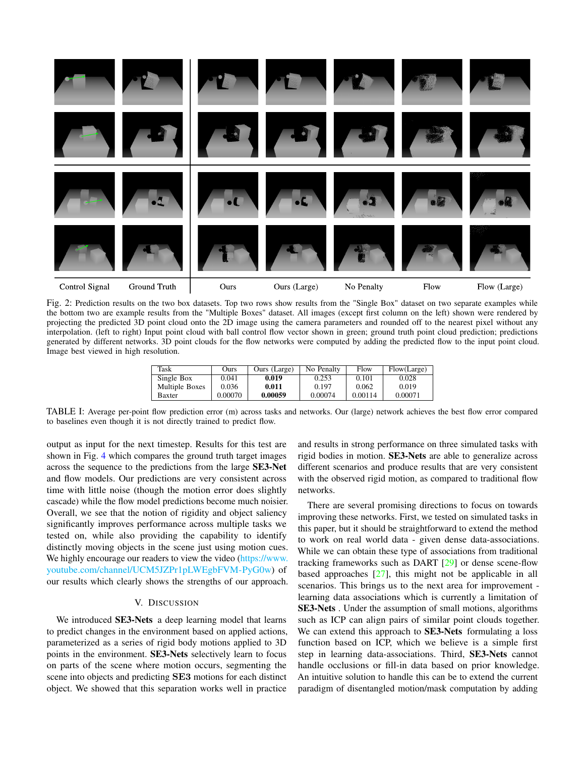<span id="page-4-2"></span>

Fig. 2: Prediction results on the two box datasets. Top two rows show results from the "Single Box" dataset on two separate examples while the bottom two are example results from the "Multiple Boxes" dataset. All images (except first column on the left) shown were rendered by projecting the predicted 3D point cloud onto the 2D image using the camera parameters and rounded off to the nearest pixel without any interpolation. (left to right) Input point cloud with ball control flow vector shown in green; ground truth point cloud prediction; predictions generated by different networks. 3D point clouds for the flow networks were computed by adding the predicted flow to the input point cloud. Image best viewed in high resolution.

| Task           | Ours    | Ours (Large) | No Penalty | Flow    | Flow(Large) |
|----------------|---------|--------------|------------|---------|-------------|
| Single Box     | 0.041   | 0.019        | 0.253      | 0.101   | 0.028       |
| Multiple Boxes | 0.036   | 0.011        | 0.197      | 0.062   | 0.019       |
| Baxter         | 0.00070 | 0.00059      | 0.00074    | 0.00114 | 0.00071     |

<span id="page-4-1"></span>TABLE I: Average per-point flow prediction error (m) across tasks and networks. Our (large) network achieves the best flow error compared to baselines even though it is not directly trained to predict flow.

output as input for the next timestep. Results for this test are shown in Fig. [4](#page-5-0) which compares the ground truth target images across the sequence to the predictions from the large SE3-Net and flow models. Our predictions are very consistent across time with little noise (though the motion error does slightly cascade) while the flow model predictions become much noisier. Overall, we see that the notion of rigidity and object saliency significantly improves performance across multiple tasks we tested on, while also providing the capability to identify distinctly moving objects in the scene just using motion cues. We highly encourage our readers to view the video [\(https://www.](https://www.youtube.com/channel/UCM5JZPr1pLWEgbFVM-PyG0w) [youtube.com/channel/UCM5JZPr1pLWEgbFVM-PyG0w\)](https://www.youtube.com/channel/UCM5JZPr1pLWEgbFVM-PyG0w) of our results which clearly shows the strengths of our approach.

# V. DISCUSSION

<span id="page-4-0"></span>We introduced SE3-Nets a deep learning model that learns to predict changes in the environment based on applied actions, parameterized as a series of rigid body motions applied to 3D points in the environment. SE3-Nets selectively learn to focus on parts of the scene where motion occurs, segmenting the scene into objects and predicting SE3 motions for each distinct object. We showed that this separation works well in practice

and results in strong performance on three simulated tasks with rigid bodies in motion. SE3-Nets are able to generalize across different scenarios and produce results that are very consistent with the observed rigid motion, as compared to traditional flow networks.

There are several promising directions to focus on towards improving these networks. First, we tested on simulated tasks in this paper, but it should be straightforward to extend the method to work on real world data - given dense data-associations. While we can obtain these type of associations from traditional tracking frameworks such as DART [\[29\]](#page-7-14) or dense scene-flow based approaches [\[27\]](#page-7-15), this might not be applicable in all scenarios. This brings us to the next area for improvement learning data associations which is currently a limitation of SE3-Nets . Under the assumption of small motions, algorithms such as ICP can align pairs of similar point clouds together. We can extend this approach to SE3-Nets formulating a loss function based on ICP, which we believe is a simple first step in learning data-associations. Third, SE3-Nets cannot handle occlusions or fill-in data based on prior knowledge. An intuitive solution to handle this can be to extend the current paradigm of disentangled motion/mask computation by adding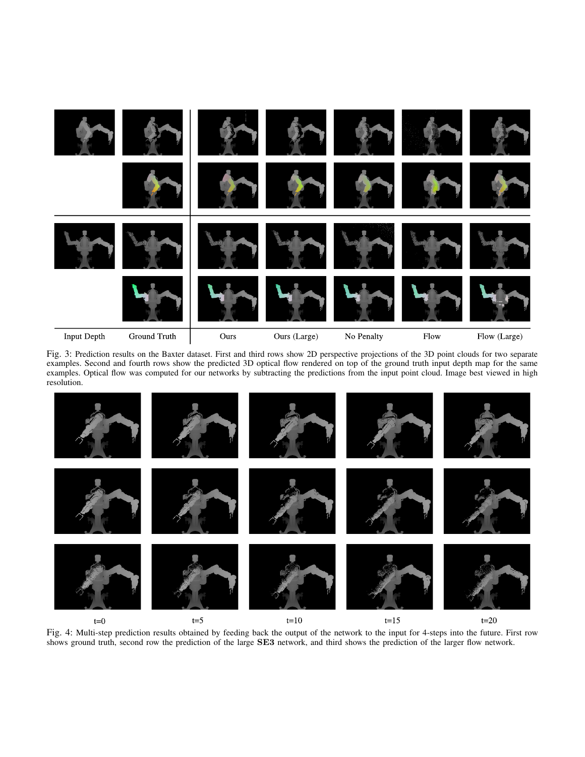<span id="page-5-0"></span>

Fig. 3: Prediction results on the Baxter dataset. First and third rows show 2D perspective projections of the 3D point clouds for two separate examples. Second and fourth rows show the predicted 3D optical flow rendered on top of the ground truth input depth map for the same examples. Optical flow was computed for our networks by subtracting the predictions from the input point cloud. Image best viewed in high resolution.



Fig. 4: Multi-step prediction results obtained by feeding back the output of the network to the input for 4-steps into the future. First row shows ground truth, second row the prediction of the large SE3 network, and third shows the prediction of the larger flow network.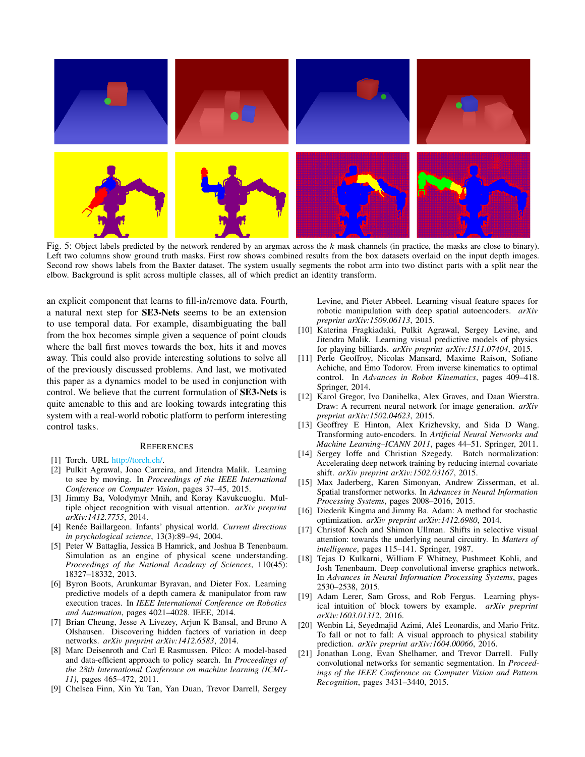<span id="page-6-21"></span>

Fig. 5: Object labels predicted by the network rendered by an argmax across the k mask channels (in practice, the masks are close to binary). Left two columns show ground truth masks. First row shows combined results from the box datasets overlaid on the input depth images. Second row shows labels from the Baxter dataset. The system usually segments the robot arm into two distinct parts with a split near the elbow. Background is split across multiple classes, all of which predict an identity transform.

an explicit component that learns to fill-in/remove data. Fourth, a natural next step for SE3-Nets seems to be an extension to use temporal data. For example, disambiguating the ball from the box becomes simple given a sequence of point clouds where the ball first moves towards the box, hits it and moves away. This could also provide interesting solutions to solve all of the previously discussed problems. And last, we motivated this paper as a dynamics model to be used in conjunction with control. We believe that the current formulation of SE3-Nets is quite amenable to this and are looking towards integrating this system with a real-world robotic platform to perform interesting control tasks.

# **REFERENCES**

- <span id="page-6-18"></span>[1] Torch. URL [http://torch.ch/.](http://torch.ch/)
- <span id="page-6-12"></span>[2] Pulkit Agrawal, Joao Carreira, and Jitendra Malik. Learning to see by moving. In *Proceedings of the IEEE International Conference on Computer Vision*, pages 37–45, 2015.
- <span id="page-6-14"></span>[3] Jimmy Ba, Volodymyr Mnih, and Koray Kavukcuoglu. Multiple object recognition with visual attention. *arXiv preprint arXiv:1412.7755*, 2014.
- <span id="page-6-2"></span>[4] Renée Baillargeon. Infants' physical world. *Current directions in psychological science*, 13(3):89–94, 2004.
- <span id="page-6-1"></span>[5] Peter W Battaglia, Jessica B Hamrick, and Joshua B Tenenbaum. Simulation as an engine of physical scene understanding. *Proceedings of the National Academy of Sciences*, 110(45): 18327–18332, 2013.
- <span id="page-6-5"></span>[6] Byron Boots, Arunkumar Byravan, and Dieter Fox. Learning predictive models of a depth camera & manipulator from raw execution traces. In *IEEE International Conference on Robotics and Automation*, pages 4021–4028. IEEE, 2014.
- <span id="page-6-15"></span>[7] Brian Cheung, Jesse A Livezey, Arjun K Bansal, and Bruno A Olshausen. Discovering hidden factors of variation in deep networks. *arXiv preprint arXiv:1412.6583*, 2014.
- <span id="page-6-4"></span>[8] Marc Deisenroth and Carl E Rasmussen. Pilco: A model-based and data-efficient approach to policy search. In *Proceedings of the 28th International Conference on machine learning (ICML-11)*, pages 465–472, 2011.
- <span id="page-6-6"></span>[9] Chelsea Finn, Xin Yu Tan, Yan Duan, Trevor Darrell, Sergey

Levine, and Pieter Abbeel. Learning visual feature spaces for robotic manipulation with deep spatial autoencoders. *arXiv preprint arXiv:1509.06113*, 2015.

- <span id="page-6-9"></span>[10] Katerina Fragkiadaki, Pulkit Agrawal, Sergey Levine, and Jitendra Malik. Learning visual predictive models of physics for playing billiards. *arXiv preprint arXiv:1511.07404*, 2015.
- <span id="page-6-0"></span>[11] Perle Geoffroy, Nicolas Mansard, Maxime Raison, Sofiane Achiche, and Emo Todorov. From inverse kinematics to optimal control. In *Advances in Robot Kinematics*, pages 409–418. Springer, 2014.
- <span id="page-6-13"></span>[12] Karol Gregor, Ivo Danihelka, Alex Graves, and Daan Wierstra. Draw: A recurrent neural network for image generation. *arXiv preprint arXiv:1502.04623*, 2015.
- <span id="page-6-10"></span>[13] Geoffrey E Hinton, Alex Krizhevsky, and Sida D Wang. Transforming auto-encoders. In *Artificial Neural Networks and Machine Learning–ICANN 2011*, pages 44–51. Springer, 2011.
- <span id="page-6-20"></span>[14] Sergey Ioffe and Christian Szegedy. Batch normalization: Accelerating deep network training by reducing internal covariate shift. *arXiv preprint arXiv:1502.03167*, 2015.
- <span id="page-6-16"></span>[15] Max Jaderberg, Karen Simonyan, Andrew Zisserman, et al. Spatial transformer networks. In *Advances in Neural Information Processing Systems*, pages 2008–2016, 2015.
- <span id="page-6-19"></span>[16] Diederik Kingma and Jimmy Ba. Adam: A method for stochastic optimization. *arXiv preprint arXiv:1412.6980*, 2014.
- <span id="page-6-3"></span>[17] Christof Koch and Shimon Ullman. Shifts in selective visual attention: towards the underlying neural circuitry. In *Matters of intelligence*, pages 115–141. Springer, 1987.
- <span id="page-6-11"></span>[18] Tejas D Kulkarni, William F Whitney, Pushmeet Kohli, and Josh Tenenbaum. Deep convolutional inverse graphics network. In *Advances in Neural Information Processing Systems*, pages 2530–2538, 2015.
- <span id="page-6-7"></span>[19] Adam Lerer, Sam Gross, and Rob Fergus. Learning physical intuition of block towers by example. *arXiv preprint arXiv:1603.01312*, 2016.
- <span id="page-6-8"></span>[20] Wenbin Li, Seyedmajid Azimi, Aleš Leonardis, and Mario Fritz. To fall or not to fall: A visual approach to physical stability prediction. *arXiv preprint arXiv:1604.00066*, 2016.
- <span id="page-6-17"></span>[21] Jonathan Long, Evan Shelhamer, and Trevor Darrell. Fully convolutional networks for semantic segmentation. In *Proceedings of the IEEE Conference on Computer Vision and Pattern Recognition*, pages 3431–3440, 2015.